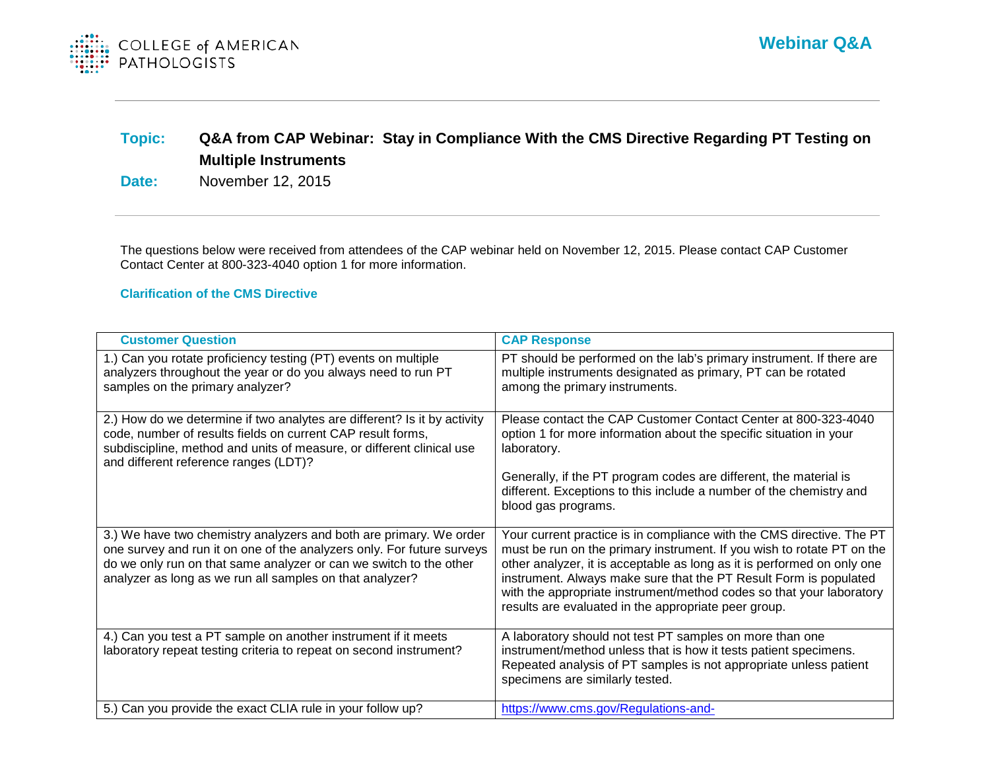

# **Topic: Q&A from CAP Webinar: Stay in Compliance With the CMS Directive Regarding PT Testing on Multiple Instruments**

**Date:** November 12, 2015

The questions below were received from attendees of the CAP webinar held on November 12, 2015. Please contact CAP Customer Contact Center at 800-323-4040 option 1 for more information.

#### **Clarification of the CMS Directive**

| <b>Customer Question</b>                                                                                                                                                                                                                                                       | <b>CAP Response</b>                                                                                                                                                                                                                                                                                                                                                                                                             |
|--------------------------------------------------------------------------------------------------------------------------------------------------------------------------------------------------------------------------------------------------------------------------------|---------------------------------------------------------------------------------------------------------------------------------------------------------------------------------------------------------------------------------------------------------------------------------------------------------------------------------------------------------------------------------------------------------------------------------|
| 1.) Can you rotate proficiency testing (PT) events on multiple<br>analyzers throughout the year or do you always need to run PT<br>samples on the primary analyzer?                                                                                                            | PT should be performed on the lab's primary instrument. If there are<br>multiple instruments designated as primary, PT can be rotated<br>among the primary instruments.                                                                                                                                                                                                                                                         |
| 2.) How do we determine if two analytes are different? Is it by activity<br>code, number of results fields on current CAP result forms,<br>subdiscipline, method and units of measure, or different clinical use<br>and different reference ranges (LDT)?                      | Please contact the CAP Customer Contact Center at 800-323-4040<br>option 1 for more information about the specific situation in your<br>laboratory.<br>Generally, if the PT program codes are different, the material is<br>different. Exceptions to this include a number of the chemistry and<br>blood gas programs.                                                                                                          |
| 3.) We have two chemistry analyzers and both are primary. We order<br>one survey and run it on one of the analyzers only. For future surveys<br>do we only run on that same analyzer or can we switch to the other<br>analyzer as long as we run all samples on that analyzer? | Your current practice is in compliance with the CMS directive. The PT<br>must be run on the primary instrument. If you wish to rotate PT on the<br>other analyzer, it is acceptable as long as it is performed on only one<br>instrument. Always make sure that the PT Result Form is populated<br>with the appropriate instrument/method codes so that your laboratory<br>results are evaluated in the appropriate peer group. |
| 4.) Can you test a PT sample on another instrument if it meets<br>laboratory repeat testing criteria to repeat on second instrument?                                                                                                                                           | A laboratory should not test PT samples on more than one<br>instrument/method unless that is how it tests patient specimens.<br>Repeated analysis of PT samples is not appropriate unless patient<br>specimens are similarly tested.                                                                                                                                                                                            |
| 5.) Can you provide the exact CLIA rule in your follow up?                                                                                                                                                                                                                     | https://www.cms.gov/Regulations-and-                                                                                                                                                                                                                                                                                                                                                                                            |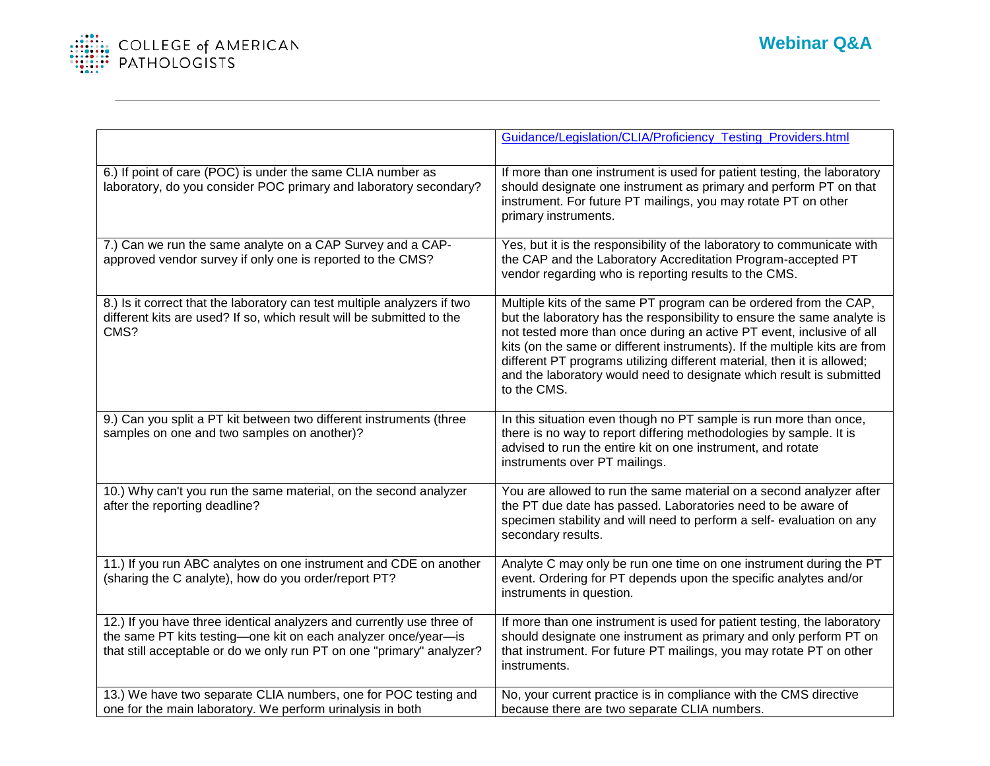

|                                                                                                                                                                                                                  | Guidance/Legislation/CLIA/Proficiency_Testing_Providers.html                                                                                                                                                                                                                                                                                                                                                                                                          |
|------------------------------------------------------------------------------------------------------------------------------------------------------------------------------------------------------------------|-----------------------------------------------------------------------------------------------------------------------------------------------------------------------------------------------------------------------------------------------------------------------------------------------------------------------------------------------------------------------------------------------------------------------------------------------------------------------|
| 6.) If point of care (POC) is under the same CLIA number as<br>laboratory, do you consider POC primary and laboratory secondary?                                                                                 | If more than one instrument is used for patient testing, the laboratory<br>should designate one instrument as primary and perform PT on that<br>instrument. For future PT mailings, you may rotate PT on other<br>primary instruments.                                                                                                                                                                                                                                |
| 7.) Can we run the same analyte on a CAP Survey and a CAP-<br>approved vendor survey if only one is reported to the CMS?                                                                                         | Yes, but it is the responsibility of the laboratory to communicate with<br>the CAP and the Laboratory Accreditation Program-accepted PT<br>vendor regarding who is reporting results to the CMS.                                                                                                                                                                                                                                                                      |
| 8.) Is it correct that the laboratory can test multiple analyzers if two<br>different kits are used? If so, which result will be submitted to the<br>CMS?                                                        | Multiple kits of the same PT program can be ordered from the CAP,<br>but the laboratory has the responsibility to ensure the same analyte is<br>not tested more than once during an active PT event, inclusive of all<br>kits (on the same or different instruments). If the multiple kits are from<br>different PT programs utilizing different material, then it is allowed;<br>and the laboratory would need to designate which result is submitted<br>to the CMS. |
| 9.) Can you split a PT kit between two different instruments (three<br>samples on one and two samples on another)?                                                                                               | In this situation even though no PT sample is run more than once,<br>there is no way to report differing methodologies by sample. It is<br>advised to run the entire kit on one instrument, and rotate<br>instruments over PT mailings.                                                                                                                                                                                                                               |
| 10.) Why can't you run the same material, on the second analyzer<br>after the reporting deadline?                                                                                                                | You are allowed to run the same material on a second analyzer after<br>the PT due date has passed. Laboratories need to be aware of<br>specimen stability and will need to perform a self- evaluation on any<br>secondary results.                                                                                                                                                                                                                                    |
| 11.) If you run ABC analytes on one instrument and CDE on another<br>(sharing the C analyte), how do you order/report PT?                                                                                        | Analyte C may only be run one time on one instrument during the PT<br>event. Ordering for PT depends upon the specific analytes and/or<br>instruments in question.                                                                                                                                                                                                                                                                                                    |
| 12.) If you have three identical analyzers and currently use three of<br>the same PT kits testing-one kit on each analyzer once/year-is<br>that still acceptable or do we only run PT on one "primary" analyzer? | If more than one instrument is used for patient testing, the laboratory<br>should designate one instrument as primary and only perform PT on<br>that instrument. For future PT mailings, you may rotate PT on other<br>instruments.                                                                                                                                                                                                                                   |
| 13.) We have two separate CLIA numbers, one for POC testing and<br>one for the main laboratory. We perform urinalysis in both                                                                                    | No, your current practice is in compliance with the CMS directive<br>because there are two separate CLIA numbers.                                                                                                                                                                                                                                                                                                                                                     |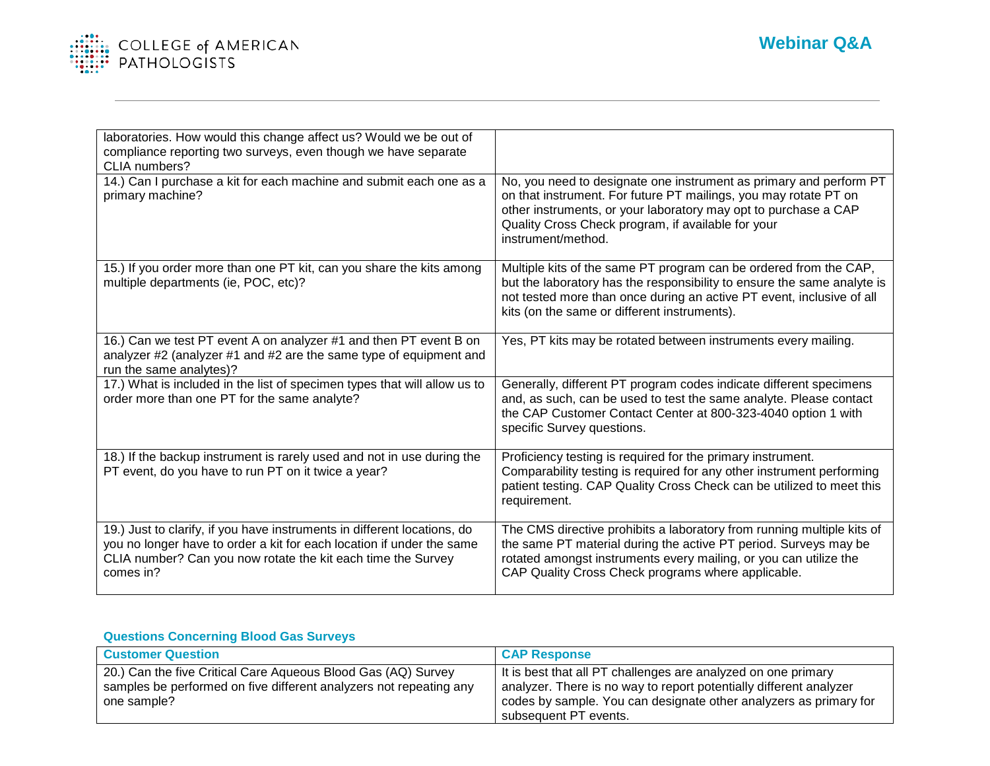

| laboratories. How would this change affect us? Would we be out of<br>compliance reporting two surveys, even though we have separate<br>CLIA numbers?                                                                           |                                                                                                                                                                                                                                                                                       |
|--------------------------------------------------------------------------------------------------------------------------------------------------------------------------------------------------------------------------------|---------------------------------------------------------------------------------------------------------------------------------------------------------------------------------------------------------------------------------------------------------------------------------------|
| 14.) Can I purchase a kit for each machine and submit each one as a<br>primary machine?                                                                                                                                        | No, you need to designate one instrument as primary and perform PT<br>on that instrument. For future PT mailings, you may rotate PT on<br>other instruments, or your laboratory may opt to purchase a CAP<br>Quality Cross Check program, if available for your<br>instrument/method. |
| 15.) If you order more than one PT kit, can you share the kits among<br>multiple departments (ie, POC, etc)?                                                                                                                   | Multiple kits of the same PT program can be ordered from the CAP,<br>but the laboratory has the responsibility to ensure the same analyte is<br>not tested more than once during an active PT event, inclusive of all<br>kits (on the same or different instruments).                 |
| 16.) Can we test PT event A on analyzer #1 and then PT event B on<br>analyzer #2 (analyzer #1 and #2 are the same type of equipment and<br>run the same analytes)?                                                             | Yes, PT kits may be rotated between instruments every mailing.                                                                                                                                                                                                                        |
| 17.) What is included in the list of specimen types that will allow us to<br>order more than one PT for the same analyte?                                                                                                      | Generally, different PT program codes indicate different specimens<br>and, as such, can be used to test the same analyte. Please contact<br>the CAP Customer Contact Center at 800-323-4040 option 1 with<br>specific Survey questions.                                               |
| 18.) If the backup instrument is rarely used and not in use during the<br>PT event, do you have to run PT on it twice a year?                                                                                                  | Proficiency testing is required for the primary instrument.<br>Comparability testing is required for any other instrument performing<br>patient testing. CAP Quality Cross Check can be utilized to meet this<br>requirement.                                                         |
| 19.) Just to clarify, if you have instruments in different locations, do<br>you no longer have to order a kit for each location if under the same<br>CLIA number? Can you now rotate the kit each time the Survey<br>comes in? | The CMS directive prohibits a laboratory from running multiple kits of<br>the same PT material during the active PT period. Surveys may be<br>rotated amongst instruments every mailing, or you can utilize the<br>CAP Quality Cross Check programs where applicable.                 |

## **Questions Concerning Blood Gas Surveys**

| <b>Customer Question</b>                                                                                                                           | <b>CAP Response</b>                                                                                                                                                                                                               |
|----------------------------------------------------------------------------------------------------------------------------------------------------|-----------------------------------------------------------------------------------------------------------------------------------------------------------------------------------------------------------------------------------|
| 20.) Can the five Critical Care Aqueous Blood Gas (AQ) Survey<br>samples be performed on five different analyzers not repeating any<br>one sample? | It is best that all PT challenges are analyzed on one primary<br>analyzer. There is no way to report potentially different analyzer<br>codes by sample. You can designate other analyzers as primary for<br>subsequent PT events. |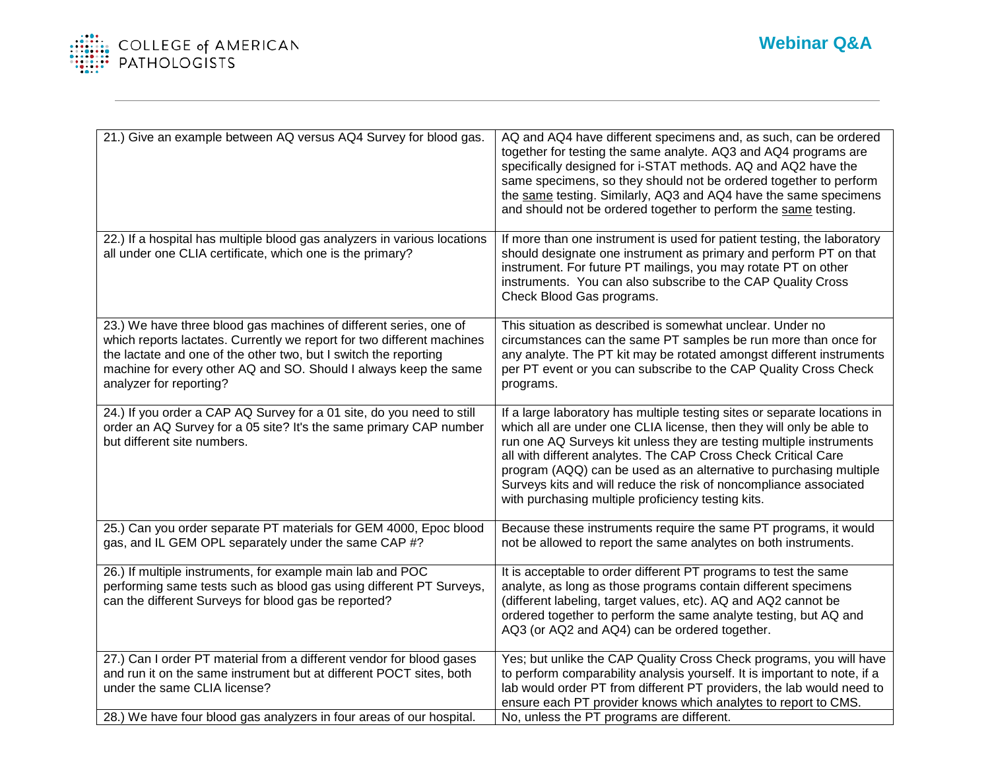

| 21.) Give an example between AQ versus AQ4 Survey for blood gas.                                                                                                                                                                                                                                               | AQ and AQ4 have different specimens and, as such, can be ordered<br>together for testing the same analyte. AQ3 and AQ4 programs are<br>specifically designed for i-STAT methods. AQ and AQ2 have the<br>same specimens, so they should not be ordered together to perform<br>the same testing. Similarly, AQ3 and AQ4 have the same specimens<br>and should not be ordered together to perform the same testing.                                                                            |
|----------------------------------------------------------------------------------------------------------------------------------------------------------------------------------------------------------------------------------------------------------------------------------------------------------------|---------------------------------------------------------------------------------------------------------------------------------------------------------------------------------------------------------------------------------------------------------------------------------------------------------------------------------------------------------------------------------------------------------------------------------------------------------------------------------------------|
| 22.) If a hospital has multiple blood gas analyzers in various locations<br>all under one CLIA certificate, which one is the primary?                                                                                                                                                                          | If more than one instrument is used for patient testing, the laboratory<br>should designate one instrument as primary and perform PT on that<br>instrument. For future PT mailings, you may rotate PT on other<br>instruments. You can also subscribe to the CAP Quality Cross<br>Check Blood Gas programs.                                                                                                                                                                                 |
| 23.) We have three blood gas machines of different series, one of<br>which reports lactates. Currently we report for two different machines<br>the lactate and one of the other two, but I switch the reporting<br>machine for every other AQ and SO. Should I always keep the same<br>analyzer for reporting? | This situation as described is somewhat unclear. Under no<br>circumstances can the same PT samples be run more than once for<br>any analyte. The PT kit may be rotated amongst different instruments<br>per PT event or you can subscribe to the CAP Quality Cross Check<br>programs.                                                                                                                                                                                                       |
| 24.) If you order a CAP AQ Survey for a 01 site, do you need to still<br>order an AQ Survey for a 05 site? It's the same primary CAP number<br>but different site numbers.                                                                                                                                     | If a large laboratory has multiple testing sites or separate locations in<br>which all are under one CLIA license, then they will only be able to<br>run one AQ Surveys kit unless they are testing multiple instruments<br>all with different analytes. The CAP Cross Check Critical Care<br>program (AQQ) can be used as an alternative to purchasing multiple<br>Surveys kits and will reduce the risk of noncompliance associated<br>with purchasing multiple proficiency testing kits. |
| 25.) Can you order separate PT materials for GEM 4000, Epoc blood<br>gas, and IL GEM OPL separately under the same CAP #?                                                                                                                                                                                      | Because these instruments require the same PT programs, it would<br>not be allowed to report the same analytes on both instruments.                                                                                                                                                                                                                                                                                                                                                         |
| 26.) If multiple instruments, for example main lab and POC<br>performing same tests such as blood gas using different PT Surveys,<br>can the different Surveys for blood gas be reported?                                                                                                                      | It is acceptable to order different PT programs to test the same<br>analyte, as long as those programs contain different specimens<br>(different labeling, target values, etc). AQ and AQ2 cannot be<br>ordered together to perform the same analyte testing, but AQ and<br>AQ3 (or AQ2 and AQ4) can be ordered together.                                                                                                                                                                   |
| 27.) Can I order PT material from a different vendor for blood gases<br>and run it on the same instrument but at different POCT sites, both<br>under the same CLIA license?<br>28.) We have four blood gas analyzers in four areas of our hospital.                                                            | Yes; but unlike the CAP Quality Cross Check programs, you will have<br>to perform comparability analysis yourself. It is important to note, if a<br>lab would order PT from different PT providers, the lab would need to<br>ensure each PT provider knows which analytes to report to CMS.<br>No, unless the PT programs are different.                                                                                                                                                    |
|                                                                                                                                                                                                                                                                                                                |                                                                                                                                                                                                                                                                                                                                                                                                                                                                                             |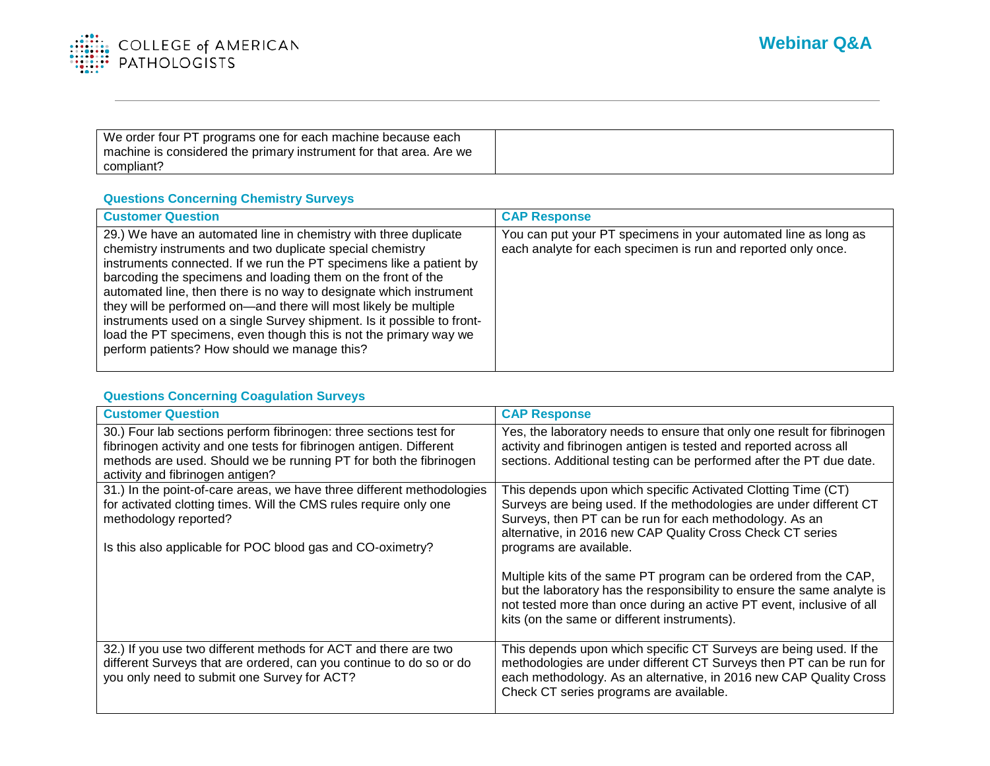

| We order four PT programs one for each machine because each        |  |
|--------------------------------------------------------------------|--|
| machine is considered the primary instrument for that area. Are we |  |
| compliant?                                                         |  |

## **Questions Concerning Chemistry Surveys**

| <b>Customer Question</b>                                                                                                                                                                                                                                                                                                                                                                                                                                                                                                                                                                                      | <b>CAP Response</b>                                                                                                              |
|---------------------------------------------------------------------------------------------------------------------------------------------------------------------------------------------------------------------------------------------------------------------------------------------------------------------------------------------------------------------------------------------------------------------------------------------------------------------------------------------------------------------------------------------------------------------------------------------------------------|----------------------------------------------------------------------------------------------------------------------------------|
| 29.) We have an automated line in chemistry with three duplicate<br>chemistry instruments and two duplicate special chemistry<br>instruments connected. If we run the PT specimens like a patient by<br>barcoding the specimens and loading them on the front of the<br>automated line, then there is no way to designate which instrument<br>they will be performed on—and there will most likely be multiple<br>instruments used on a single Survey shipment. Is it possible to front-<br>load the PT specimens, even though this is not the primary way we<br>perform patients? How should we manage this? | You can put your PT specimens in your automated line as long as<br>each analyte for each specimen is run and reported only once. |

#### **Questions Concerning Coagulation Surveys**

| <b>Customer Question</b>                                                                                                                                                                                                                           | <b>CAP Response</b>                                                                                                                                                                                                                                                                      |
|----------------------------------------------------------------------------------------------------------------------------------------------------------------------------------------------------------------------------------------------------|------------------------------------------------------------------------------------------------------------------------------------------------------------------------------------------------------------------------------------------------------------------------------------------|
| 30.) Four lab sections perform fibrinogen: three sections test for<br>fibrinogen activity and one tests for fibrinogen antigen. Different<br>methods are used. Should we be running PT for both the fibrinogen<br>activity and fibrinogen antigen? | Yes, the laboratory needs to ensure that only one result for fibrinogen<br>activity and fibrinogen antigen is tested and reported across all<br>sections. Additional testing can be performed after the PT due date.                                                                     |
| 31.) In the point-of-care areas, we have three different methodologies<br>for activated clotting times. Will the CMS rules require only one<br>methodology reported?<br>Is this also applicable for POC blood gas and CO-oximetry?                 | This depends upon which specific Activated Clotting Time (CT)<br>Surveys are being used. If the methodologies are under different CT<br>Surveys, then PT can be run for each methodology. As an<br>alternative, in 2016 new CAP Quality Cross Check CT series<br>programs are available. |
|                                                                                                                                                                                                                                                    | Multiple kits of the same PT program can be ordered from the CAP,<br>but the laboratory has the responsibility to ensure the same analyte is<br>not tested more than once during an active PT event, inclusive of all<br>kits (on the same or different instruments).                    |
| 32.) If you use two different methods for ACT and there are two<br>different Surveys that are ordered, can you continue to do so or do<br>you only need to submit one Survey for ACT?                                                              | This depends upon which specific CT Surveys are being used. If the<br>methodologies are under different CT Surveys then PT can be run for<br>each methodology. As an alternative, in 2016 new CAP Quality Cross<br>Check CT series programs are available.                               |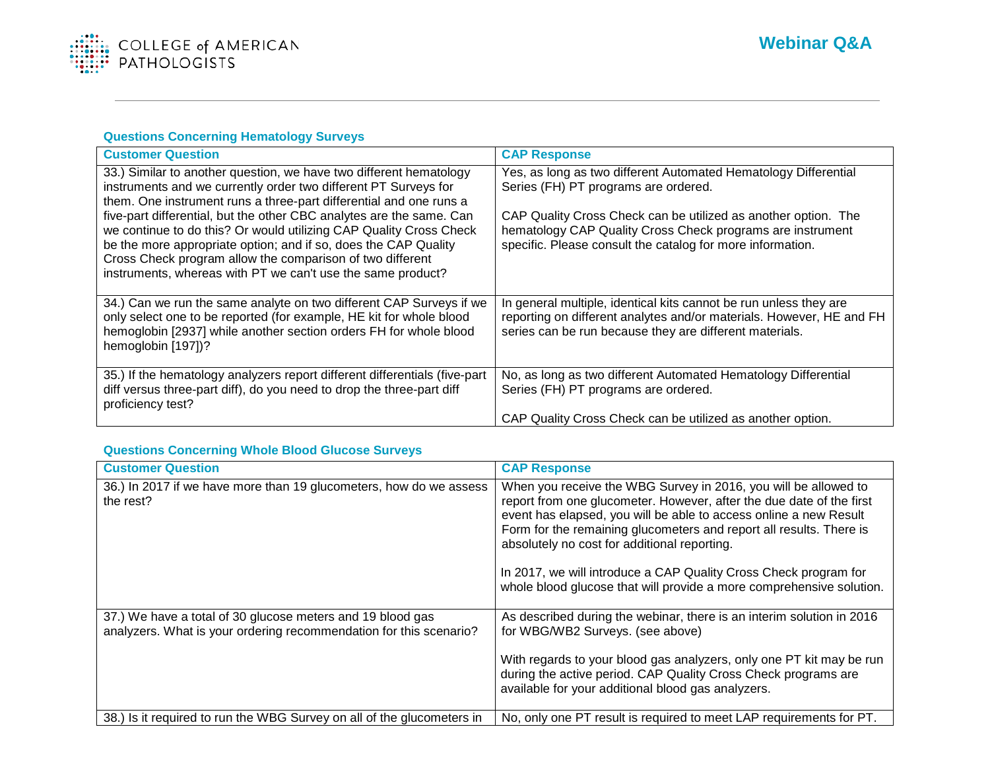

## **Questions Concerning Hematology Surveys**

| <b>Customer Question</b>                                                                                                                                                                                                                                                                                                                  | <b>CAP Response</b>                                                                                                                                                                                  |
|-------------------------------------------------------------------------------------------------------------------------------------------------------------------------------------------------------------------------------------------------------------------------------------------------------------------------------------------|------------------------------------------------------------------------------------------------------------------------------------------------------------------------------------------------------|
| 33.) Similar to another question, we have two different hematology<br>instruments and we currently order two different PT Surveys for<br>them. One instrument runs a three-part differential and one runs a                                                                                                                               | Yes, as long as two different Automated Hematology Differential<br>Series (FH) PT programs are ordered.                                                                                              |
| five-part differential, but the other CBC analytes are the same. Can<br>we continue to do this? Or would utilizing CAP Quality Cross Check<br>be the more appropriate option; and if so, does the CAP Quality<br>Cross Check program allow the comparison of two different<br>instruments, whereas with PT we can't use the same product? | CAP Quality Cross Check can be utilized as another option. The<br>hematology CAP Quality Cross Check programs are instrument<br>specific. Please consult the catalog for more information.           |
| 34.) Can we run the same analyte on two different CAP Surveys if we<br>only select one to be reported (for example, HE kit for whole blood<br>hemoglobin [2937] while another section orders FH for whole blood<br>hemoglobin [197])?                                                                                                     | In general multiple, identical kits cannot be run unless they are<br>reporting on different analytes and/or materials. However, HE and FH<br>series can be run because they are different materials. |
| 35.) If the hematology analyzers report different differentials (five-part<br>diff versus three-part diff), do you need to drop the three-part diff<br>proficiency test?                                                                                                                                                                  | No, as long as two different Automated Hematology Differential<br>Series (FH) PT programs are ordered.                                                                                               |
|                                                                                                                                                                                                                                                                                                                                           | CAP Quality Cross Check can be utilized as another option.                                                                                                                                           |

## **Questions Concerning Whole Blood Glucose Surveys**

| <b>Customer Question</b>                                                                                                         | <b>CAP Response</b>                                                                                                                                                                                                                                                                                                                                                                                                                                                             |
|----------------------------------------------------------------------------------------------------------------------------------|---------------------------------------------------------------------------------------------------------------------------------------------------------------------------------------------------------------------------------------------------------------------------------------------------------------------------------------------------------------------------------------------------------------------------------------------------------------------------------|
| 36.) In 2017 if we have more than 19 glucometers, how do we assess<br>the rest?                                                  | When you receive the WBG Survey in 2016, you will be allowed to<br>report from one glucometer. However, after the due date of the first<br>event has elapsed, you will be able to access online a new Result<br>Form for the remaining glucometers and report all results. There is<br>absolutely no cost for additional reporting.<br>In 2017, we will introduce a CAP Quality Cross Check program for<br>whole blood glucose that will provide a more comprehensive solution. |
| 37.) We have a total of 30 glucose meters and 19 blood gas<br>analyzers. What is your ordering recommendation for this scenario? | As described during the webinar, there is an interim solution in 2016<br>for WBG/WB2 Surveys. (see above)<br>With regards to your blood gas analyzers, only one PT kit may be run<br>during the active period. CAP Quality Cross Check programs are<br>available for your additional blood gas analyzers.                                                                                                                                                                       |
| 38.) Is it required to run the WBG Survey on all of the glucometers in                                                           | No, only one PT result is required to meet LAP requirements for PT.                                                                                                                                                                                                                                                                                                                                                                                                             |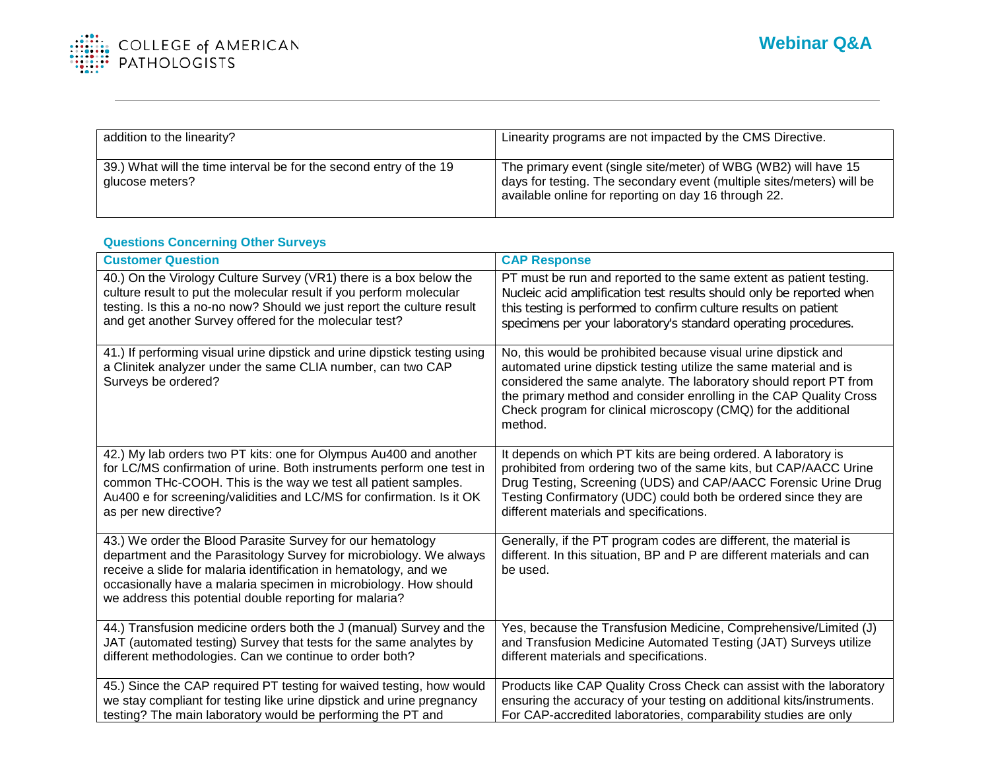

| addition to the linearity?                                                            | Linearity programs are not impacted by the CMS Directive.                                                                                                                                        |
|---------------------------------------------------------------------------------------|--------------------------------------------------------------------------------------------------------------------------------------------------------------------------------------------------|
| 39.) What will the time interval be for the second entry of the 19<br>glucose meters? | The primary event (single site/meter) of WBG (WB2) will have 15<br>days for testing. The secondary event (multiple sites/meters) will be<br>available online for reporting on day 16 through 22. |

## **Questions Concerning Other Surveys**

| <b>Customer Question</b>                                                                                                                                                                                                                                                                                                            | <b>CAP Response</b>                                                                                                                                                                                                                                                                                                                                         |
|-------------------------------------------------------------------------------------------------------------------------------------------------------------------------------------------------------------------------------------------------------------------------------------------------------------------------------------|-------------------------------------------------------------------------------------------------------------------------------------------------------------------------------------------------------------------------------------------------------------------------------------------------------------------------------------------------------------|
| 40.) On the Virology Culture Survey (VR1) there is a box below the                                                                                                                                                                                                                                                                  | PT must be run and reported to the same extent as patient testing.                                                                                                                                                                                                                                                                                          |
| culture result to put the molecular result if you perform molecular                                                                                                                                                                                                                                                                 | Nucleic acid amplification test results should only be reported when                                                                                                                                                                                                                                                                                        |
| testing. Is this a no-no now? Should we just report the culture result                                                                                                                                                                                                                                                              | this testing is performed to confirm culture results on patient                                                                                                                                                                                                                                                                                             |
| and get another Survey offered for the molecular test?                                                                                                                                                                                                                                                                              | specimens per your laboratory's standard operating procedures.                                                                                                                                                                                                                                                                                              |
| 41.) If performing visual urine dipstick and urine dipstick testing using<br>a Clinitek analyzer under the same CLIA number, can two CAP<br>Surveys be ordered?                                                                                                                                                                     | No, this would be prohibited because visual urine dipstick and<br>automated urine dipstick testing utilize the same material and is<br>considered the same analyte. The laboratory should report PT from<br>the primary method and consider enrolling in the CAP Quality Cross<br>Check program for clinical microscopy (CMQ) for the additional<br>method. |
| 42.) My lab orders two PT kits: one for Olympus Au400 and another                                                                                                                                                                                                                                                                   | It depends on which PT kits are being ordered. A laboratory is                                                                                                                                                                                                                                                                                              |
| for LC/MS confirmation of urine. Both instruments perform one test in                                                                                                                                                                                                                                                               | prohibited from ordering two of the same kits, but CAP/AACC Urine                                                                                                                                                                                                                                                                                           |
| common THc-COOH. This is the way we test all patient samples.                                                                                                                                                                                                                                                                       | Drug Testing, Screening (UDS) and CAP/AACC Forensic Urine Drug                                                                                                                                                                                                                                                                                              |
| Au400 e for screening/validities and LC/MS for confirmation. Is it OK                                                                                                                                                                                                                                                               | Testing Confirmatory (UDC) could both be ordered since they are                                                                                                                                                                                                                                                                                             |
| as per new directive?                                                                                                                                                                                                                                                                                                               | different materials and specifications.                                                                                                                                                                                                                                                                                                                     |
| 43.) We order the Blood Parasite Survey for our hematology<br>department and the Parasitology Survey for microbiology. We always<br>receive a slide for malaria identification in hematology, and we<br>occasionally have a malaria specimen in microbiology. How should<br>we address this potential double reporting for malaria? | Generally, if the PT program codes are different, the material is<br>different. In this situation, BP and P are different materials and can<br>be used.                                                                                                                                                                                                     |
| 44.) Transfusion medicine orders both the J (manual) Survey and the                                                                                                                                                                                                                                                                 | Yes, because the Transfusion Medicine, Comprehensive/Limited (J)                                                                                                                                                                                                                                                                                            |
| JAT (automated testing) Survey that tests for the same analytes by                                                                                                                                                                                                                                                                  | and Transfusion Medicine Automated Testing (JAT) Surveys utilize                                                                                                                                                                                                                                                                                            |
| different methodologies. Can we continue to order both?                                                                                                                                                                                                                                                                             | different materials and specifications.                                                                                                                                                                                                                                                                                                                     |
| 45.) Since the CAP required PT testing for waived testing, how would                                                                                                                                                                                                                                                                | Products like CAP Quality Cross Check can assist with the laboratory                                                                                                                                                                                                                                                                                        |
| we stay compliant for testing like urine dipstick and urine pregnancy                                                                                                                                                                                                                                                               | ensuring the accuracy of your testing on additional kits/instruments.                                                                                                                                                                                                                                                                                       |
| testing? The main laboratory would be performing the PT and                                                                                                                                                                                                                                                                         | For CAP-accredited laboratories, comparability studies are only                                                                                                                                                                                                                                                                                             |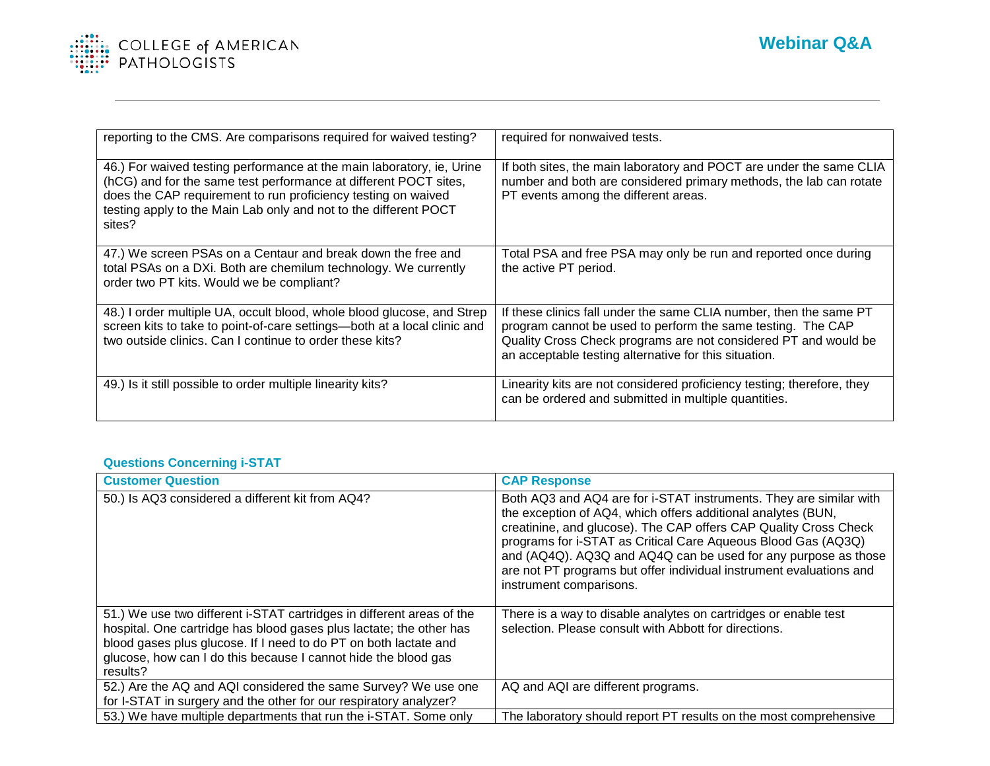

| reporting to the CMS. Are comparisons required for waived testing?                                                                                                                                                                                                                       | required for nonwaived tests.                                                                                                                                                                                                                                 |
|------------------------------------------------------------------------------------------------------------------------------------------------------------------------------------------------------------------------------------------------------------------------------------------|---------------------------------------------------------------------------------------------------------------------------------------------------------------------------------------------------------------------------------------------------------------|
| 46.) For waived testing performance at the main laboratory, ie, Urine<br>(hCG) and for the same test performance at different POCT sites,<br>does the CAP requirement to run proficiency testing on waived<br>testing apply to the Main Lab only and not to the different POCT<br>sites? | If both sites, the main laboratory and POCT are under the same CLIA<br>number and both are considered primary methods, the lab can rotate<br>PT events among the different areas.                                                                             |
| 47.) We screen PSAs on a Centaur and break down the free and<br>total PSAs on a DXi. Both are chemilum technology. We currently<br>order two PT kits. Would we be compliant?                                                                                                             | Total PSA and free PSA may only be run and reported once during<br>the active PT period.                                                                                                                                                                      |
| 48.) I order multiple UA, occult blood, whole blood glucose, and Strep<br>screen kits to take to point-of-care settings—both at a local clinic and<br>two outside clinics. Can I continue to order these kits?                                                                           | If these clinics fall under the same CLIA number, then the same PT<br>program cannot be used to perform the same testing. The CAP<br>Quality Cross Check programs are not considered PT and would be<br>an acceptable testing alternative for this situation. |
| 49.) Is it still possible to order multiple linearity kits?                                                                                                                                                                                                                              | Linearity kits are not considered proficiency testing; therefore, they<br>can be ordered and submitted in multiple quantities.                                                                                                                                |

## **Questions Concerning i-STAT**

| <b>Customer Question</b>                                                                                                                                                                                                                                                                       | <b>CAP Response</b>                                                                                                                                                                                                                                                                                                                                                                                                                         |
|------------------------------------------------------------------------------------------------------------------------------------------------------------------------------------------------------------------------------------------------------------------------------------------------|---------------------------------------------------------------------------------------------------------------------------------------------------------------------------------------------------------------------------------------------------------------------------------------------------------------------------------------------------------------------------------------------------------------------------------------------|
| 50.) Is AQ3 considered a different kit from AQ4?                                                                                                                                                                                                                                               | Both AQ3 and AQ4 are for i-STAT instruments. They are similar with<br>the exception of AQ4, which offers additional analytes (BUN,<br>creatinine, and glucose). The CAP offers CAP Quality Cross Check<br>programs for i-STAT as Critical Care Aqueous Blood Gas (AQ3Q)<br>and (AQ4Q). AQ3Q and AQ4Q can be used for any purpose as those<br>are not PT programs but offer individual instrument evaluations and<br>instrument comparisons. |
| 51.) We use two different i-STAT cartridges in different areas of the<br>hospital. One cartridge has blood gases plus lactate; the other has<br>blood gases plus glucose. If I need to do PT on both lactate and<br>glucose, how can I do this because I cannot hide the blood gas<br>results? | There is a way to disable analytes on cartridges or enable test<br>selection. Please consult with Abbott for directions.                                                                                                                                                                                                                                                                                                                    |
| 52.) Are the AQ and AQI considered the same Survey? We use one<br>for I-STAT in surgery and the other for our respiratory analyzer?                                                                                                                                                            | AQ and AQI are different programs.                                                                                                                                                                                                                                                                                                                                                                                                          |
| 53.) We have multiple departments that run the i-STAT. Some only                                                                                                                                                                                                                               | The laboratory should report PT results on the most comprehensive                                                                                                                                                                                                                                                                                                                                                                           |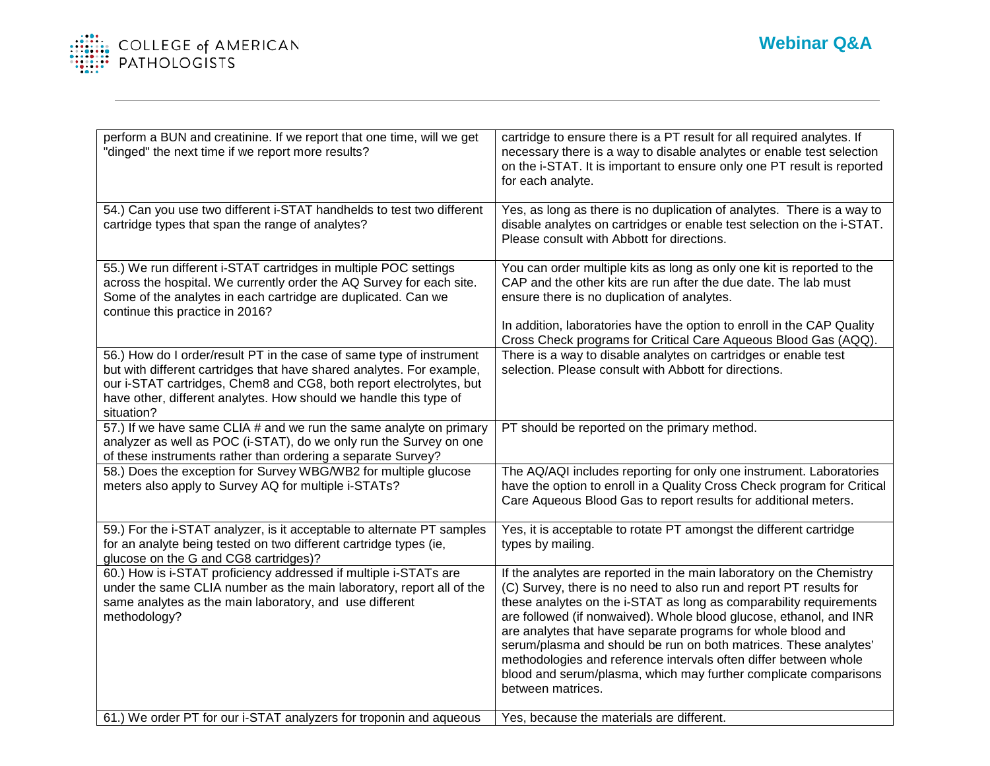

| perform a BUN and creatinine. If we report that one time, will we get<br>"dinged" the next time if we report more results?                                                                                                                                                                              | cartridge to ensure there is a PT result for all required analytes. If<br>necessary there is a way to disable analytes or enable test selection<br>on the i-STAT. It is important to ensure only one PT result is reported<br>for each analyte.                                                                                                                                                                                                                                                                                                                                         |
|---------------------------------------------------------------------------------------------------------------------------------------------------------------------------------------------------------------------------------------------------------------------------------------------------------|-----------------------------------------------------------------------------------------------------------------------------------------------------------------------------------------------------------------------------------------------------------------------------------------------------------------------------------------------------------------------------------------------------------------------------------------------------------------------------------------------------------------------------------------------------------------------------------------|
| 54.) Can you use two different i-STAT handhelds to test two different<br>cartridge types that span the range of analytes?                                                                                                                                                                               | Yes, as long as there is no duplication of analytes. There is a way to<br>disable analytes on cartridges or enable test selection on the i-STAT.<br>Please consult with Abbott for directions.                                                                                                                                                                                                                                                                                                                                                                                          |
| 55.) We run different i-STAT cartridges in multiple POC settings<br>across the hospital. We currently order the AQ Survey for each site.<br>Some of the analytes in each cartridge are duplicated. Can we<br>continue this practice in 2016?                                                            | You can order multiple kits as long as only one kit is reported to the<br>CAP and the other kits are run after the due date. The lab must<br>ensure there is no duplication of analytes.<br>In addition, laboratories have the option to enroll in the CAP Quality<br>Cross Check programs for Critical Care Aqueous Blood Gas (AQQ).                                                                                                                                                                                                                                                   |
| 56.) How do I order/result PT in the case of same type of instrument<br>but with different cartridges that have shared analytes. For example,<br>our i-STAT cartridges, Chem8 and CG8, both report electrolytes, but<br>have other, different analytes. How should we handle this type of<br>situation? | There is a way to disable analytes on cartridges or enable test<br>selection. Please consult with Abbott for directions.                                                                                                                                                                                                                                                                                                                                                                                                                                                                |
| 57.) If we have same CLIA # and we run the same analyte on primary<br>analyzer as well as POC (i-STAT), do we only run the Survey on one<br>of these instruments rather than ordering a separate Survey?                                                                                                | PT should be reported on the primary method.                                                                                                                                                                                                                                                                                                                                                                                                                                                                                                                                            |
| 58.) Does the exception for Survey WBG/WB2 for multiple glucose<br>meters also apply to Survey AQ for multiple i-STATs?                                                                                                                                                                                 | The AQ/AQI includes reporting for only one instrument. Laboratories<br>have the option to enroll in a Quality Cross Check program for Critical<br>Care Aqueous Blood Gas to report results for additional meters.                                                                                                                                                                                                                                                                                                                                                                       |
| 59.) For the i-STAT analyzer, is it acceptable to alternate PT samples<br>for an analyte being tested on two different cartridge types (ie,<br>glucose on the G and CG8 cartridges)?                                                                                                                    | Yes, it is acceptable to rotate PT amongst the different cartridge<br>types by mailing.                                                                                                                                                                                                                                                                                                                                                                                                                                                                                                 |
| 60.) How is i-STAT proficiency addressed if multiple i-STATs are<br>under the same CLIA number as the main laboratory, report all of the<br>same analytes as the main laboratory, and use different<br>methodology?                                                                                     | If the analytes are reported in the main laboratory on the Chemistry<br>(C) Survey, there is no need to also run and report PT results for<br>these analytes on the i-STAT as long as comparability requirements<br>are followed (if nonwaived). Whole blood glucose, ethanol, and INR<br>are analytes that have separate programs for whole blood and<br>serum/plasma and should be run on both matrices. These analytes'<br>methodologies and reference intervals often differ between whole<br>blood and serum/plasma, which may further complicate comparisons<br>between matrices. |
| 61.) We order PT for our i-STAT analyzers for troponin and aqueous                                                                                                                                                                                                                                      | Yes, because the materials are different.                                                                                                                                                                                                                                                                                                                                                                                                                                                                                                                                               |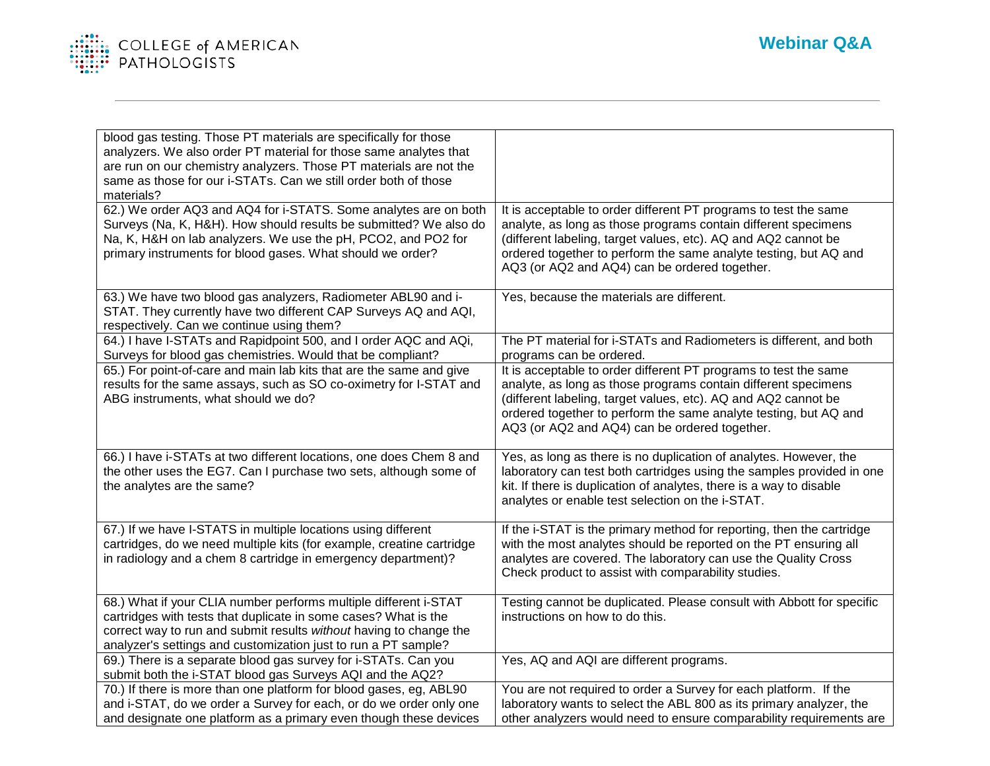

| blood gas testing. Those PT materials are specifically for those<br>analyzers. We also order PT material for those same analytes that<br>are run on our chemistry analyzers. Those PT materials are not the<br>same as those for our i-STATs. Can we still order both of those<br>materials? |                                                                                                                                                                                                                                                                                                                           |
|----------------------------------------------------------------------------------------------------------------------------------------------------------------------------------------------------------------------------------------------------------------------------------------------|---------------------------------------------------------------------------------------------------------------------------------------------------------------------------------------------------------------------------------------------------------------------------------------------------------------------------|
| 62.) We order AQ3 and AQ4 for i-STATS. Some analytes are on both<br>Surveys (Na, K, H&H). How should results be submitted? We also do<br>Na, K, H&H on lab analyzers. We use the pH, PCO2, and PO2 for<br>primary instruments for blood gases. What should we order?                         | It is acceptable to order different PT programs to test the same<br>analyte, as long as those programs contain different specimens<br>(different labeling, target values, etc). AQ and AQ2 cannot be<br>ordered together to perform the same analyte testing, but AQ and<br>AQ3 (or AQ2 and AQ4) can be ordered together. |
| 63.) We have two blood gas analyzers, Radiometer ABL90 and i-<br>STAT. They currently have two different CAP Surveys AQ and AQI,<br>respectively. Can we continue using them?                                                                                                                | Yes, because the materials are different.                                                                                                                                                                                                                                                                                 |
| 64.) I have I-STATs and Rapidpoint 500, and I order AQC and AQi,<br>Surveys for blood gas chemistries. Would that be compliant?                                                                                                                                                              | The PT material for i-STATs and Radiometers is different, and both<br>programs can be ordered.                                                                                                                                                                                                                            |
| 65.) For point-of-care and main lab kits that are the same and give<br>results for the same assays, such as SO co-oximetry for I-STAT and<br>ABG instruments, what should we do?                                                                                                             | It is acceptable to order different PT programs to test the same<br>analyte, as long as those programs contain different specimens<br>(different labeling, target values, etc). AQ and AQ2 cannot be<br>ordered together to perform the same analyte testing, but AQ and<br>AQ3 (or AQ2 and AQ4) can be ordered together. |
| 66.) I have i-STATs at two different locations, one does Chem 8 and<br>the other uses the EG7. Can I purchase two sets, although some of<br>the analytes are the same?                                                                                                                       | Yes, as long as there is no duplication of analytes. However, the<br>laboratory can test both cartridges using the samples provided in one<br>kit. If there is duplication of analytes, there is a way to disable<br>analytes or enable test selection on the i-STAT.                                                     |
| 67.) If we have I-STATS in multiple locations using different<br>cartridges, do we need multiple kits (for example, creatine cartridge<br>in radiology and a chem 8 cartridge in emergency department)?                                                                                      | If the i-STAT is the primary method for reporting, then the cartridge<br>with the most analytes should be reported on the PT ensuring all<br>analytes are covered. The laboratory can use the Quality Cross<br>Check product to assist with comparability studies.                                                        |
| 68.) What if your CLIA number performs multiple different i-STAT<br>cartridges with tests that duplicate in some cases? What is the<br>correct way to run and submit results without having to change the<br>analyzer's settings and customization just to run a PT sample?                  | Testing cannot be duplicated. Please consult with Abbott for specific<br>instructions on how to do this.                                                                                                                                                                                                                  |
| 69.) There is a separate blood gas survey for i-STATs. Can you<br>submit both the i-STAT blood gas Surveys AQI and the AQ2?                                                                                                                                                                  | Yes, AQ and AQI are different programs.                                                                                                                                                                                                                                                                                   |
| 70.) If there is more than one platform for blood gases, eg, ABL90<br>and i-STAT, do we order a Survey for each, or do we order only one<br>and designate one platform as a primary even though these devices                                                                                | You are not required to order a Survey for each platform. If the<br>laboratory wants to select the ABL 800 as its primary analyzer, the<br>other analyzers would need to ensure comparability requirements are                                                                                                            |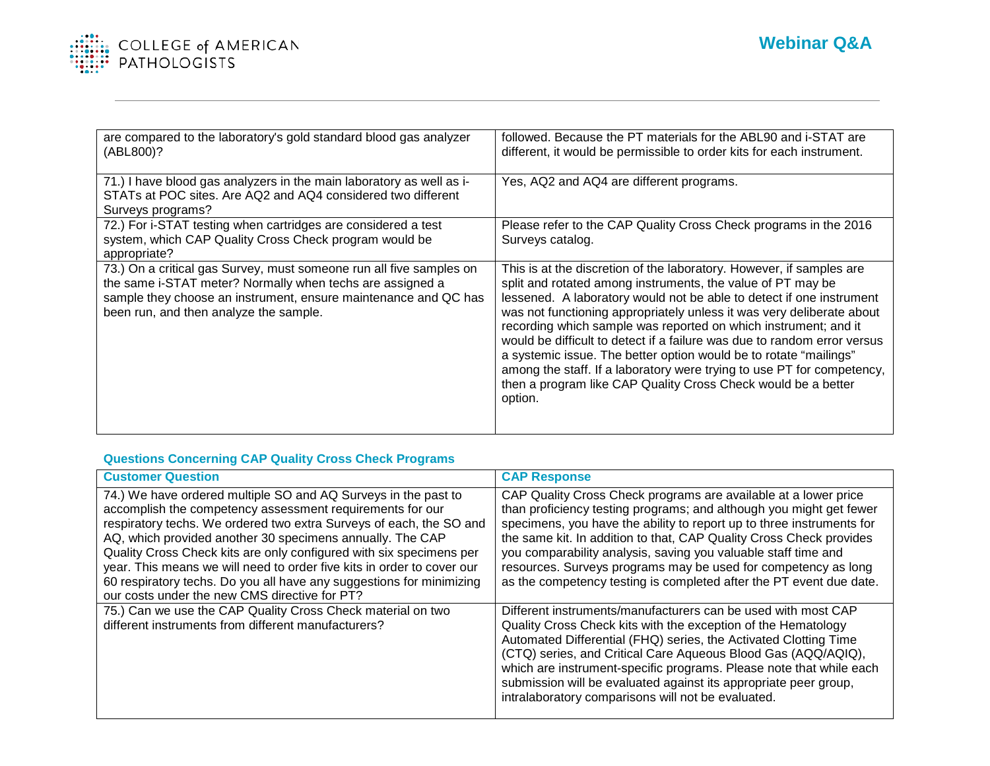

| are compared to the laboratory's gold standard blood gas analyzer<br>(ABL800)?                                                                                                                                                                | followed. Because the PT materials for the ABL90 and i-STAT are<br>different, it would be permissible to order kits for each instrument.                                                                                                                                                                                                                                                                                                                                                                                                                                                                                                                       |
|-----------------------------------------------------------------------------------------------------------------------------------------------------------------------------------------------------------------------------------------------|----------------------------------------------------------------------------------------------------------------------------------------------------------------------------------------------------------------------------------------------------------------------------------------------------------------------------------------------------------------------------------------------------------------------------------------------------------------------------------------------------------------------------------------------------------------------------------------------------------------------------------------------------------------|
| 71.) I have blood gas analyzers in the main laboratory as well as i-<br>STATs at POC sites. Are AQ2 and AQ4 considered two different<br>Surveys programs?                                                                                     | Yes, AQ2 and AQ4 are different programs.                                                                                                                                                                                                                                                                                                                                                                                                                                                                                                                                                                                                                       |
| 72.) For i-STAT testing when cartridges are considered a test<br>system, which CAP Quality Cross Check program would be<br>appropriate?                                                                                                       | Please refer to the CAP Quality Cross Check programs in the 2016<br>Surveys catalog.                                                                                                                                                                                                                                                                                                                                                                                                                                                                                                                                                                           |
| 73.) On a critical gas Survey, must someone run all five samples on<br>the same i-STAT meter? Normally when techs are assigned a<br>sample they choose an instrument, ensure maintenance and QC has<br>been run, and then analyze the sample. | This is at the discretion of the laboratory. However, if samples are<br>split and rotated among instruments, the value of PT may be<br>lessened. A laboratory would not be able to detect if one instrument<br>was not functioning appropriately unless it was very deliberate about<br>recording which sample was reported on which instrument; and it<br>would be difficult to detect if a failure was due to random error versus<br>a systemic issue. The better option would be to rotate "mailings"<br>among the staff. If a laboratory were trying to use PT for competency,<br>then a program like CAP Quality Cross Check would be a better<br>option. |

## **Questions Concerning CAP Quality Cross Check Programs**

| <b>Customer Question</b>                                                                                                                                                                                                                                                                                                                                                                                                                                                                                                                  | <b>CAP Response</b>                                                                                                                                                                                                                                                                                                                                                                                                                                                                               |
|-------------------------------------------------------------------------------------------------------------------------------------------------------------------------------------------------------------------------------------------------------------------------------------------------------------------------------------------------------------------------------------------------------------------------------------------------------------------------------------------------------------------------------------------|---------------------------------------------------------------------------------------------------------------------------------------------------------------------------------------------------------------------------------------------------------------------------------------------------------------------------------------------------------------------------------------------------------------------------------------------------------------------------------------------------|
| 74.) We have ordered multiple SO and AQ Surveys in the past to<br>accomplish the competency assessment requirements for our<br>respiratory techs. We ordered two extra Surveys of each, the SO and<br>AQ, which provided another 30 specimens annually. The CAP<br>Quality Cross Check kits are only configured with six specimens per<br>year. This means we will need to order five kits in order to cover our<br>60 respiratory techs. Do you all have any suggestions for minimizing<br>our costs under the new CMS directive for PT? | CAP Quality Cross Check programs are available at a lower price<br>than proficiency testing programs; and although you might get fewer<br>specimens, you have the ability to report up to three instruments for<br>the same kit. In addition to that, CAP Quality Cross Check provides<br>you comparability analysis, saving you valuable staff time and<br>resources. Surveys programs may be used for competency as long<br>as the competency testing is completed after the PT event due date. |
| 75.) Can we use the CAP Quality Cross Check material on two<br>different instruments from different manufacturers?                                                                                                                                                                                                                                                                                                                                                                                                                        | Different instruments/manufacturers can be used with most CAP<br>Quality Cross Check kits with the exception of the Hematology<br>Automated Differential (FHQ) series, the Activated Clotting Time<br>(CTQ) series, and Critical Care Aqueous Blood Gas (AQQ/AQIQ),<br>which are instrument-specific programs. Please note that while each<br>submission will be evaluated against its appropriate peer group,<br>intralaboratory comparisons will not be evaluated.                              |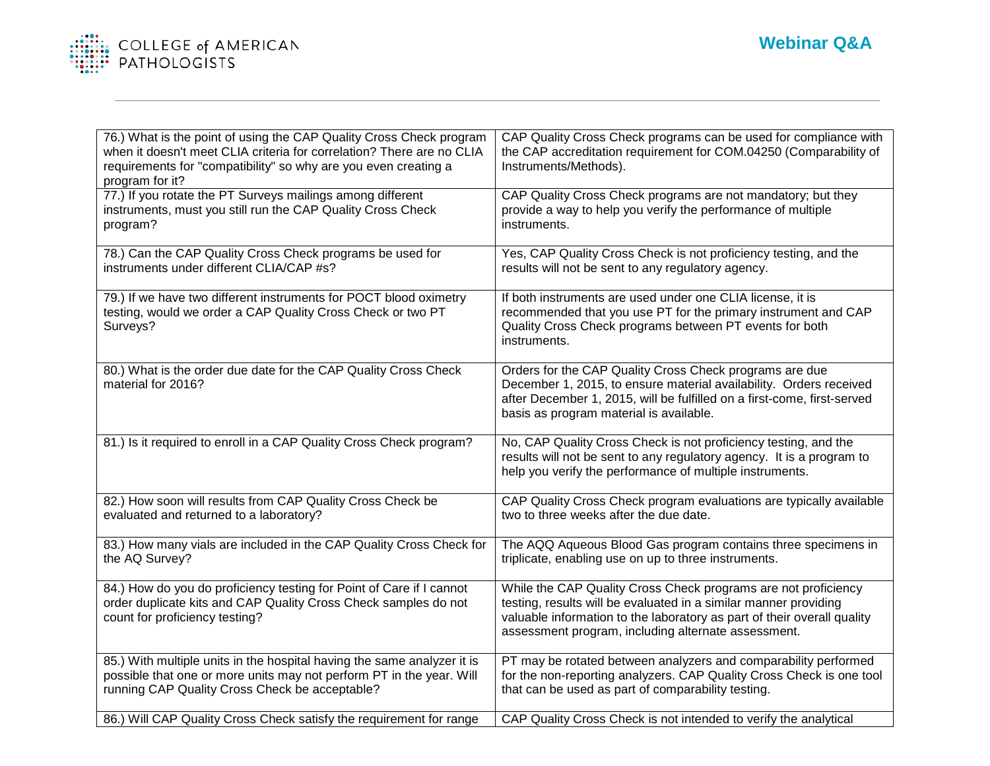

| 76.) What is the point of using the CAP Quality Cross Check program<br>when it doesn't meet CLIA criteria for correlation? There are no CLIA<br>requirements for "compatibility" so why are you even creating a<br>program for it? | CAP Quality Cross Check programs can be used for compliance with<br>the CAP accreditation requirement for COM.04250 (Comparability of<br>Instruments/Methods).                                                                                                       |
|------------------------------------------------------------------------------------------------------------------------------------------------------------------------------------------------------------------------------------|----------------------------------------------------------------------------------------------------------------------------------------------------------------------------------------------------------------------------------------------------------------------|
| 77.) If you rotate the PT Surveys mailings among different<br>instruments, must you still run the CAP Quality Cross Check<br>program?                                                                                              | CAP Quality Cross Check programs are not mandatory; but they<br>provide a way to help you verify the performance of multiple<br>instruments.                                                                                                                         |
| 78.) Can the CAP Quality Cross Check programs be used for<br>instruments under different CLIA/CAP #s?                                                                                                                              | Yes, CAP Quality Cross Check is not proficiency testing, and the<br>results will not be sent to any regulatory agency.                                                                                                                                               |
| 79.) If we have two different instruments for POCT blood oximetry<br>testing, would we order a CAP Quality Cross Check or two PT<br>Surveys?                                                                                       | If both instruments are used under one CLIA license, it is<br>recommended that you use PT for the primary instrument and CAP<br>Quality Cross Check programs between PT events for both<br>instruments.                                                              |
| 80.) What is the order due date for the CAP Quality Cross Check<br>material for 2016?                                                                                                                                              | Orders for the CAP Quality Cross Check programs are due<br>December 1, 2015, to ensure material availability. Orders received<br>after December 1, 2015, will be fulfilled on a first-come, first-served<br>basis as program material is available.                  |
| 81.) Is it required to enroll in a CAP Quality Cross Check program?                                                                                                                                                                | No, CAP Quality Cross Check is not proficiency testing, and the<br>results will not be sent to any regulatory agency. It is a program to<br>help you verify the performance of multiple instruments.                                                                 |
| 82.) How soon will results from CAP Quality Cross Check be<br>evaluated and returned to a laboratory?                                                                                                                              | CAP Quality Cross Check program evaluations are typically available<br>two to three weeks after the due date.                                                                                                                                                        |
| 83.) How many vials are included in the CAP Quality Cross Check for<br>the AQ Survey?                                                                                                                                              | The AQQ Aqueous Blood Gas program contains three specimens in<br>triplicate, enabling use on up to three instruments.                                                                                                                                                |
| 84.) How do you do proficiency testing for Point of Care if I cannot<br>order duplicate kits and CAP Quality Cross Check samples do not<br>count for proficiency testing?                                                          | While the CAP Quality Cross Check programs are not proficiency<br>testing, results will be evaluated in a similar manner providing<br>valuable information to the laboratory as part of their overall quality<br>assessment program, including alternate assessment. |
| 85.) With multiple units in the hospital having the same analyzer it is<br>possible that one or more units may not perform PT in the year. Will<br>running CAP Quality Cross Check be acceptable?                                  | PT may be rotated between analyzers and comparability performed<br>for the non-reporting analyzers. CAP Quality Cross Check is one tool<br>that can be used as part of comparability testing.                                                                        |
| 86.) Will CAP Quality Cross Check satisfy the requirement for range                                                                                                                                                                | CAP Quality Cross Check is not intended to verify the analytical                                                                                                                                                                                                     |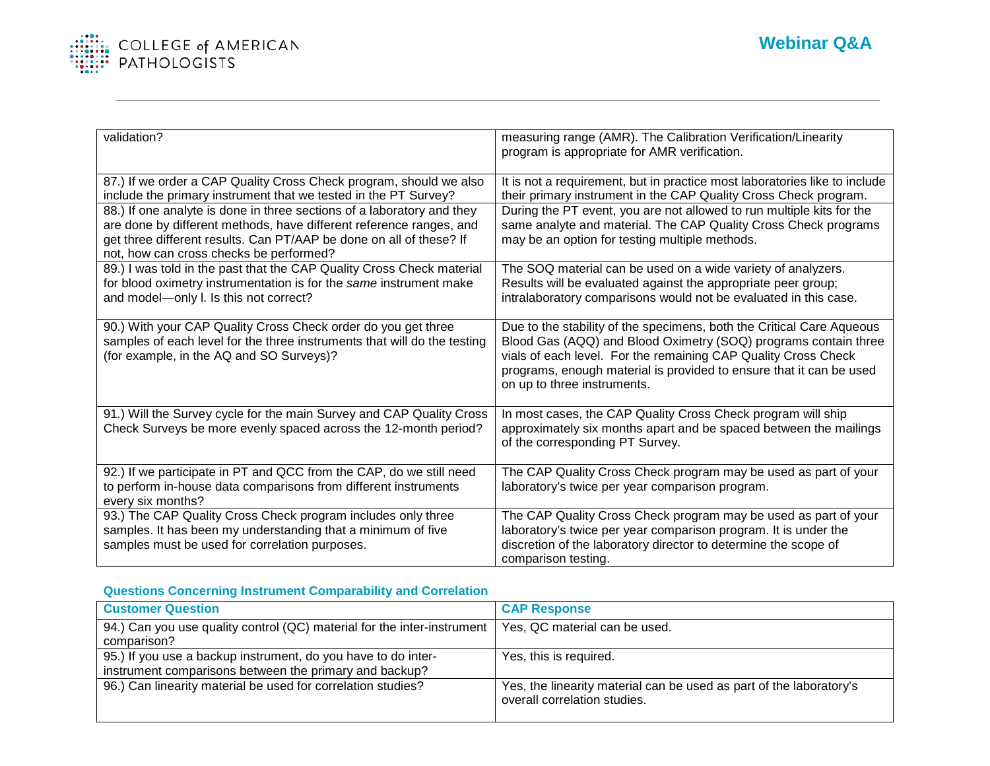

| validation?<br>measuring range (AMR). The Calibration Verification/Linearity<br>program is appropriate for AMR verification.<br>87.) If we order a CAP Quality Cross Check program, should we also<br>It is not a requirement, but in practice most laboratories like to include<br>their primary instrument in the CAP Quality Cross Check program.<br>include the primary instrument that we tested in the PT Survey?<br>88.) If one analyte is done in three sections of a laboratory and they<br>During the PT event, you are not allowed to run multiple kits for the<br>are done by different methods, have different reference ranges, and<br>same analyte and material. The CAP Quality Cross Check programs<br>get three different results. Can PT/AAP be done on all of these? If<br>may be an option for testing multiple methods.<br>not, how can cross checks be performed?<br>89.) I was told in the past that the CAP Quality Cross Check material<br>The SOQ material can be used on a wide variety of analyzers.<br>for blood oximetry instrumentation is for the same instrument make<br>Results will be evaluated against the appropriate peer group;<br>and model-only I. Is this not correct?<br>intralaboratory comparisons would not be evaluated in this case.<br>90.) With your CAP Quality Cross Check order do you get three<br>Due to the stability of the specimens, both the Critical Care Aqueous<br>samples of each level for the three instruments that will do the testing<br>Blood Gas (AQQ) and Blood Oximetry (SOQ) programs contain three<br>vials of each level. For the remaining CAP Quality Cross Check<br>(for example, in the AQ and SO Surveys)?<br>programs, enough material is provided to ensure that it can be used<br>on up to three instruments.<br>91.) Will the Survey cycle for the main Survey and CAP Quality Cross<br>In most cases, the CAP Quality Cross Check program will ship<br>Check Surveys be more evenly spaced across the 12-month period?<br>approximately six months apart and be spaced between the mailings<br>of the corresponding PT Survey. |  |
|------------------------------------------------------------------------------------------------------------------------------------------------------------------------------------------------------------------------------------------------------------------------------------------------------------------------------------------------------------------------------------------------------------------------------------------------------------------------------------------------------------------------------------------------------------------------------------------------------------------------------------------------------------------------------------------------------------------------------------------------------------------------------------------------------------------------------------------------------------------------------------------------------------------------------------------------------------------------------------------------------------------------------------------------------------------------------------------------------------------------------------------------------------------------------------------------------------------------------------------------------------------------------------------------------------------------------------------------------------------------------------------------------------------------------------------------------------------------------------------------------------------------------------------------------------------------------------------------------------------------------------------------------------------------------------------------------------------------------------------------------------------------------------------------------------------------------------------------------------------------------------------------------------------------------------------------------------------------------------------------------------------------------------------------------------------------------------------------------------------------|--|
|                                                                                                                                                                                                                                                                                                                                                                                                                                                                                                                                                                                                                                                                                                                                                                                                                                                                                                                                                                                                                                                                                                                                                                                                                                                                                                                                                                                                                                                                                                                                                                                                                                                                                                                                                                                                                                                                                                                                                                                                                                                                                                                        |  |
|                                                                                                                                                                                                                                                                                                                                                                                                                                                                                                                                                                                                                                                                                                                                                                                                                                                                                                                                                                                                                                                                                                                                                                                                                                                                                                                                                                                                                                                                                                                                                                                                                                                                                                                                                                                                                                                                                                                                                                                                                                                                                                                        |  |
|                                                                                                                                                                                                                                                                                                                                                                                                                                                                                                                                                                                                                                                                                                                                                                                                                                                                                                                                                                                                                                                                                                                                                                                                                                                                                                                                                                                                                                                                                                                                                                                                                                                                                                                                                                                                                                                                                                                                                                                                                                                                                                                        |  |
|                                                                                                                                                                                                                                                                                                                                                                                                                                                                                                                                                                                                                                                                                                                                                                                                                                                                                                                                                                                                                                                                                                                                                                                                                                                                                                                                                                                                                                                                                                                                                                                                                                                                                                                                                                                                                                                                                                                                                                                                                                                                                                                        |  |
|                                                                                                                                                                                                                                                                                                                                                                                                                                                                                                                                                                                                                                                                                                                                                                                                                                                                                                                                                                                                                                                                                                                                                                                                                                                                                                                                                                                                                                                                                                                                                                                                                                                                                                                                                                                                                                                                                                                                                                                                                                                                                                                        |  |
|                                                                                                                                                                                                                                                                                                                                                                                                                                                                                                                                                                                                                                                                                                                                                                                                                                                                                                                                                                                                                                                                                                                                                                                                                                                                                                                                                                                                                                                                                                                                                                                                                                                                                                                                                                                                                                                                                                                                                                                                                                                                                                                        |  |
|                                                                                                                                                                                                                                                                                                                                                                                                                                                                                                                                                                                                                                                                                                                                                                                                                                                                                                                                                                                                                                                                                                                                                                                                                                                                                                                                                                                                                                                                                                                                                                                                                                                                                                                                                                                                                                                                                                                                                                                                                                                                                                                        |  |
|                                                                                                                                                                                                                                                                                                                                                                                                                                                                                                                                                                                                                                                                                                                                                                                                                                                                                                                                                                                                                                                                                                                                                                                                                                                                                                                                                                                                                                                                                                                                                                                                                                                                                                                                                                                                                                                                                                                                                                                                                                                                                                                        |  |
|                                                                                                                                                                                                                                                                                                                                                                                                                                                                                                                                                                                                                                                                                                                                                                                                                                                                                                                                                                                                                                                                                                                                                                                                                                                                                                                                                                                                                                                                                                                                                                                                                                                                                                                                                                                                                                                                                                                                                                                                                                                                                                                        |  |
|                                                                                                                                                                                                                                                                                                                                                                                                                                                                                                                                                                                                                                                                                                                                                                                                                                                                                                                                                                                                                                                                                                                                                                                                                                                                                                                                                                                                                                                                                                                                                                                                                                                                                                                                                                                                                                                                                                                                                                                                                                                                                                                        |  |
|                                                                                                                                                                                                                                                                                                                                                                                                                                                                                                                                                                                                                                                                                                                                                                                                                                                                                                                                                                                                                                                                                                                                                                                                                                                                                                                                                                                                                                                                                                                                                                                                                                                                                                                                                                                                                                                                                                                                                                                                                                                                                                                        |  |
|                                                                                                                                                                                                                                                                                                                                                                                                                                                                                                                                                                                                                                                                                                                                                                                                                                                                                                                                                                                                                                                                                                                                                                                                                                                                                                                                                                                                                                                                                                                                                                                                                                                                                                                                                                                                                                                                                                                                                                                                                                                                                                                        |  |
|                                                                                                                                                                                                                                                                                                                                                                                                                                                                                                                                                                                                                                                                                                                                                                                                                                                                                                                                                                                                                                                                                                                                                                                                                                                                                                                                                                                                                                                                                                                                                                                                                                                                                                                                                                                                                                                                                                                                                                                                                                                                                                                        |  |
|                                                                                                                                                                                                                                                                                                                                                                                                                                                                                                                                                                                                                                                                                                                                                                                                                                                                                                                                                                                                                                                                                                                                                                                                                                                                                                                                                                                                                                                                                                                                                                                                                                                                                                                                                                                                                                                                                                                                                                                                                                                                                                                        |  |
|                                                                                                                                                                                                                                                                                                                                                                                                                                                                                                                                                                                                                                                                                                                                                                                                                                                                                                                                                                                                                                                                                                                                                                                                                                                                                                                                                                                                                                                                                                                                                                                                                                                                                                                                                                                                                                                                                                                                                                                                                                                                                                                        |  |
|                                                                                                                                                                                                                                                                                                                                                                                                                                                                                                                                                                                                                                                                                                                                                                                                                                                                                                                                                                                                                                                                                                                                                                                                                                                                                                                                                                                                                                                                                                                                                                                                                                                                                                                                                                                                                                                                                                                                                                                                                                                                                                                        |  |
|                                                                                                                                                                                                                                                                                                                                                                                                                                                                                                                                                                                                                                                                                                                                                                                                                                                                                                                                                                                                                                                                                                                                                                                                                                                                                                                                                                                                                                                                                                                                                                                                                                                                                                                                                                                                                                                                                                                                                                                                                                                                                                                        |  |
|                                                                                                                                                                                                                                                                                                                                                                                                                                                                                                                                                                                                                                                                                                                                                                                                                                                                                                                                                                                                                                                                                                                                                                                                                                                                                                                                                                                                                                                                                                                                                                                                                                                                                                                                                                                                                                                                                                                                                                                                                                                                                                                        |  |
|                                                                                                                                                                                                                                                                                                                                                                                                                                                                                                                                                                                                                                                                                                                                                                                                                                                                                                                                                                                                                                                                                                                                                                                                                                                                                                                                                                                                                                                                                                                                                                                                                                                                                                                                                                                                                                                                                                                                                                                                                                                                                                                        |  |
|                                                                                                                                                                                                                                                                                                                                                                                                                                                                                                                                                                                                                                                                                                                                                                                                                                                                                                                                                                                                                                                                                                                                                                                                                                                                                                                                                                                                                                                                                                                                                                                                                                                                                                                                                                                                                                                                                                                                                                                                                                                                                                                        |  |
|                                                                                                                                                                                                                                                                                                                                                                                                                                                                                                                                                                                                                                                                                                                                                                                                                                                                                                                                                                                                                                                                                                                                                                                                                                                                                                                                                                                                                                                                                                                                                                                                                                                                                                                                                                                                                                                                                                                                                                                                                                                                                                                        |  |
|                                                                                                                                                                                                                                                                                                                                                                                                                                                                                                                                                                                                                                                                                                                                                                                                                                                                                                                                                                                                                                                                                                                                                                                                                                                                                                                                                                                                                                                                                                                                                                                                                                                                                                                                                                                                                                                                                                                                                                                                                                                                                                                        |  |
|                                                                                                                                                                                                                                                                                                                                                                                                                                                                                                                                                                                                                                                                                                                                                                                                                                                                                                                                                                                                                                                                                                                                                                                                                                                                                                                                                                                                                                                                                                                                                                                                                                                                                                                                                                                                                                                                                                                                                                                                                                                                                                                        |  |
|                                                                                                                                                                                                                                                                                                                                                                                                                                                                                                                                                                                                                                                                                                                                                                                                                                                                                                                                                                                                                                                                                                                                                                                                                                                                                                                                                                                                                                                                                                                                                                                                                                                                                                                                                                                                                                                                                                                                                                                                                                                                                                                        |  |
|                                                                                                                                                                                                                                                                                                                                                                                                                                                                                                                                                                                                                                                                                                                                                                                                                                                                                                                                                                                                                                                                                                                                                                                                                                                                                                                                                                                                                                                                                                                                                                                                                                                                                                                                                                                                                                                                                                                                                                                                                                                                                                                        |  |
| 92.) If we participate in PT and QCC from the CAP, do we still need<br>The CAP Quality Cross Check program may be used as part of your                                                                                                                                                                                                                                                                                                                                                                                                                                                                                                                                                                                                                                                                                                                                                                                                                                                                                                                                                                                                                                                                                                                                                                                                                                                                                                                                                                                                                                                                                                                                                                                                                                                                                                                                                                                                                                                                                                                                                                                 |  |
| to perform in-house data comparisons from different instruments<br>laboratory's twice per year comparison program.                                                                                                                                                                                                                                                                                                                                                                                                                                                                                                                                                                                                                                                                                                                                                                                                                                                                                                                                                                                                                                                                                                                                                                                                                                                                                                                                                                                                                                                                                                                                                                                                                                                                                                                                                                                                                                                                                                                                                                                                     |  |
| every six months?                                                                                                                                                                                                                                                                                                                                                                                                                                                                                                                                                                                                                                                                                                                                                                                                                                                                                                                                                                                                                                                                                                                                                                                                                                                                                                                                                                                                                                                                                                                                                                                                                                                                                                                                                                                                                                                                                                                                                                                                                                                                                                      |  |
| 93.) The CAP Quality Cross Check program includes only three<br>The CAP Quality Cross Check program may be used as part of your                                                                                                                                                                                                                                                                                                                                                                                                                                                                                                                                                                                                                                                                                                                                                                                                                                                                                                                                                                                                                                                                                                                                                                                                                                                                                                                                                                                                                                                                                                                                                                                                                                                                                                                                                                                                                                                                                                                                                                                        |  |
| samples. It has been my understanding that a minimum of five<br>laboratory's twice per year comparison program. It is under the                                                                                                                                                                                                                                                                                                                                                                                                                                                                                                                                                                                                                                                                                                                                                                                                                                                                                                                                                                                                                                                                                                                                                                                                                                                                                                                                                                                                                                                                                                                                                                                                                                                                                                                                                                                                                                                                                                                                                                                        |  |
| samples must be used for correlation purposes.<br>discretion of the laboratory director to determine the scope of                                                                                                                                                                                                                                                                                                                                                                                                                                                                                                                                                                                                                                                                                                                                                                                                                                                                                                                                                                                                                                                                                                                                                                                                                                                                                                                                                                                                                                                                                                                                                                                                                                                                                                                                                                                                                                                                                                                                                                                                      |  |
| comparison testing.                                                                                                                                                                                                                                                                                                                                                                                                                                                                                                                                                                                                                                                                                                                                                                                                                                                                                                                                                                                                                                                                                                                                                                                                                                                                                                                                                                                                                                                                                                                                                                                                                                                                                                                                                                                                                                                                                                                                                                                                                                                                                                    |  |

# **Questions Concerning Instrument Comparability and Correlation**

| <b>Customer Question</b>                                                | <b>CAP Response</b>                                                                                 |
|-------------------------------------------------------------------------|-----------------------------------------------------------------------------------------------------|
| 94.) Can you use quality control (QC) material for the inter-instrument | Yes, QC material can be used.                                                                       |
| comparison?                                                             |                                                                                                     |
| 95.) If you use a backup instrument, do you have to do inter-           | Yes, this is required.                                                                              |
| instrument comparisons between the primary and backup?                  |                                                                                                     |
| 96.) Can linearity material be used for correlation studies?            | Yes, the linearity material can be used as part of the laboratory's<br>overall correlation studies. |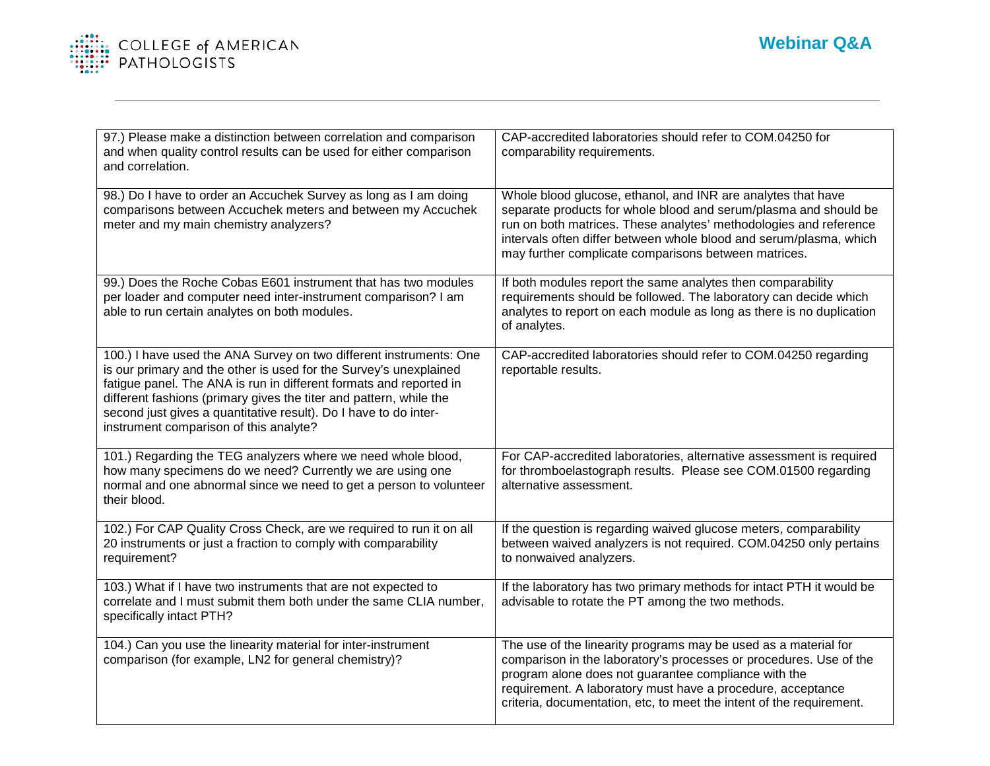

| 97.) Please make a distinction between correlation and comparison<br>and when quality control results can be used for either comparison<br>and correlation.                                                                                                                                                                                                                                       | CAP-accredited laboratories should refer to COM.04250 for<br>comparability requirements.                                                                                                                                                                                                                                             |
|---------------------------------------------------------------------------------------------------------------------------------------------------------------------------------------------------------------------------------------------------------------------------------------------------------------------------------------------------------------------------------------------------|--------------------------------------------------------------------------------------------------------------------------------------------------------------------------------------------------------------------------------------------------------------------------------------------------------------------------------------|
| 98.) Do I have to order an Accuchek Survey as long as I am doing<br>comparisons between Accuchek meters and between my Accuchek<br>meter and my main chemistry analyzers?                                                                                                                                                                                                                         | Whole blood glucose, ethanol, and INR are analytes that have<br>separate products for whole blood and serum/plasma and should be<br>run on both matrices. These analytes' methodologies and reference<br>intervals often differ between whole blood and serum/plasma, which<br>may further complicate comparisons between matrices.  |
| 99.) Does the Roche Cobas E601 instrument that has two modules<br>per loader and computer need inter-instrument comparison? I am<br>able to run certain analytes on both modules.                                                                                                                                                                                                                 | If both modules report the same analytes then comparability<br>requirements should be followed. The laboratory can decide which<br>analytes to report on each module as long as there is no duplication<br>of analytes.                                                                                                              |
| 100.) I have used the ANA Survey on two different instruments: One<br>is our primary and the other is used for the Survey's unexplained<br>fatigue panel. The ANA is run in different formats and reported in<br>different fashions (primary gives the titer and pattern, while the<br>second just gives a quantitative result). Do I have to do inter-<br>instrument comparison of this analyte? | CAP-accredited laboratories should refer to COM.04250 regarding<br>reportable results.                                                                                                                                                                                                                                               |
| 101.) Regarding the TEG analyzers where we need whole blood,<br>how many specimens do we need? Currently we are using one<br>normal and one abnormal since we need to get a person to volunteer<br>their blood.                                                                                                                                                                                   | For CAP-accredited laboratories, alternative assessment is required<br>for thromboelastograph results. Please see COM.01500 regarding<br>alternative assessment.                                                                                                                                                                     |
| 102.) For CAP Quality Cross Check, are we required to run it on all<br>20 instruments or just a fraction to comply with comparability<br>requirement?                                                                                                                                                                                                                                             | If the question is regarding waived glucose meters, comparability<br>between waived analyzers is not required. COM.04250 only pertains<br>to nonwaived analyzers.                                                                                                                                                                    |
| 103.) What if I have two instruments that are not expected to<br>correlate and I must submit them both under the same CLIA number,<br>specifically intact PTH?                                                                                                                                                                                                                                    | If the laboratory has two primary methods for intact PTH it would be<br>advisable to rotate the PT among the two methods.                                                                                                                                                                                                            |
| 104.) Can you use the linearity material for inter-instrument<br>comparison (for example, LN2 for general chemistry)?                                                                                                                                                                                                                                                                             | The use of the linearity programs may be used as a material for<br>comparison in the laboratory's processes or procedures. Use of the<br>program alone does not guarantee compliance with the<br>requirement. A laboratory must have a procedure, acceptance<br>criteria, documentation, etc, to meet the intent of the requirement. |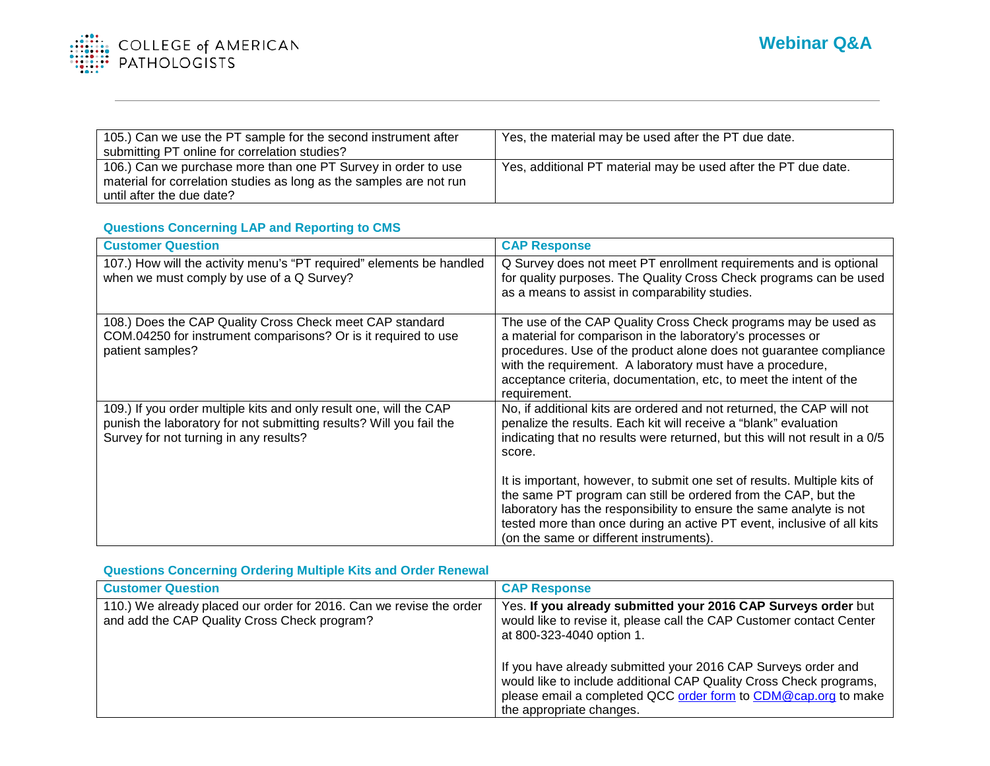

| 105.) Can we use the PT sample for the second instrument after<br>submitting PT online for correlation studies?                      | Yes, the material may be used after the PT due date.           |
|--------------------------------------------------------------------------------------------------------------------------------------|----------------------------------------------------------------|
| 106.) Can we purchase more than one PT Survey in order to use<br>material for correlation studies as long as the samples are not run | Yes, additional PT material may be used after the PT due date. |
| until after the due date?                                                                                                            |                                                                |

#### **Questions Concerning LAP and Reporting to CMS**

| <b>Customer Question</b>                                                                                                                                                            | <b>CAP Response</b>                                                                                                                                                                                                                                                                                                                                                              |
|-------------------------------------------------------------------------------------------------------------------------------------------------------------------------------------|----------------------------------------------------------------------------------------------------------------------------------------------------------------------------------------------------------------------------------------------------------------------------------------------------------------------------------------------------------------------------------|
| 107.) How will the activity menu's "PT required" elements be handled<br>when we must comply by use of a Q Survey?                                                                   | Q Survey does not meet PT enrollment requirements and is optional<br>for quality purposes. The Quality Cross Check programs can be used<br>as a means to assist in comparability studies.                                                                                                                                                                                        |
| 108.) Does the CAP Quality Cross Check meet CAP standard<br>COM.04250 for instrument comparisons? Or is it required to use<br>patient samples?                                      | The use of the CAP Quality Cross Check programs may be used as<br>a material for comparison in the laboratory's processes or<br>procedures. Use of the product alone does not guarantee compliance<br>with the requirement. A laboratory must have a procedure,<br>acceptance criteria, documentation, etc, to meet the intent of the<br>requirement.                            |
| 109.) If you order multiple kits and only result one, will the CAP<br>punish the laboratory for not submitting results? Will you fail the<br>Survey for not turning in any results? | No, if additional kits are ordered and not returned, the CAP will not<br>penalize the results. Each kit will receive a "blank" evaluation<br>indicating that no results were returned, but this will not result in a 0/5<br>score.<br>It is important, however, to submit one set of results. Multiple kits of<br>the same PT program can still be ordered from the CAP, but the |
|                                                                                                                                                                                     | laboratory has the responsibility to ensure the same analyte is not<br>tested more than once during an active PT event, inclusive of all kits<br>(on the same or different instruments).                                                                                                                                                                                         |

## **Questions Concerning Ordering Multiple Kits and Order Renewal**

| <b>Customer Question</b>                                                                                            | <b>CAP Response</b>                                                                                                                                                                                                               |
|---------------------------------------------------------------------------------------------------------------------|-----------------------------------------------------------------------------------------------------------------------------------------------------------------------------------------------------------------------------------|
| 110.) We already placed our order for 2016. Can we revise the order<br>and add the CAP Quality Cross Check program? | Yes. If you already submitted your 2016 CAP Surveys order but<br>would like to revise it, please call the CAP Customer contact Center<br>at 800-323-4040 option 1.                                                                |
|                                                                                                                     | If you have already submitted your 2016 CAP Surveys order and<br>would like to include additional CAP Quality Cross Check programs,<br>please email a completed QCC order form to CDM@cap.org to make<br>the appropriate changes. |